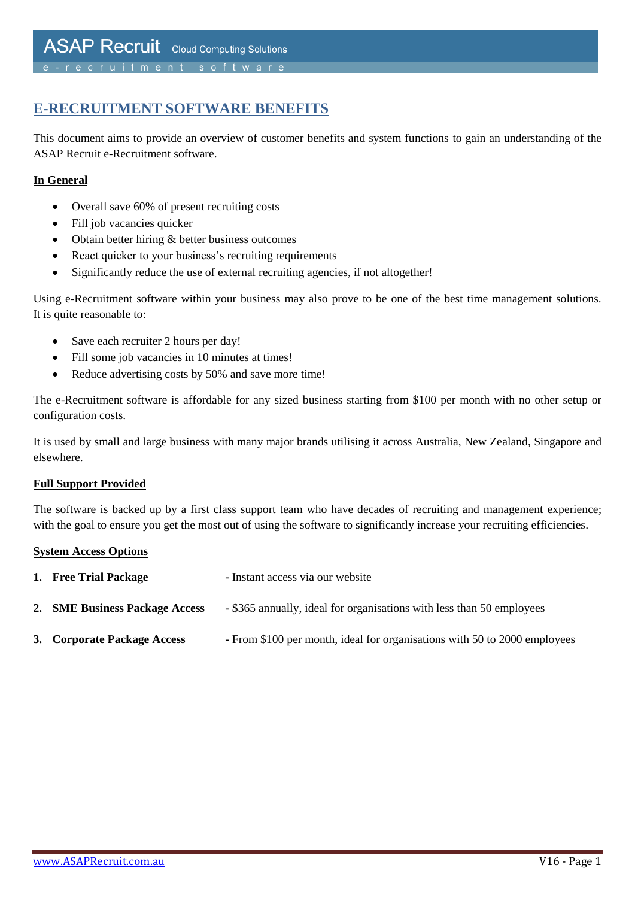# **E-RECRUITMENT SOFTWARE BENEFITS**

This document aims to provide an overview of customer benefits and system functions to gain an understanding of the ASAP Recruit e-Recruitment software.

#### **In General**

- Overall save 60% of present recruiting costs
- Fill job vacancies quicker
- Obtain better hiring & better business outcomes
- React quicker to your business's recruiting requirements
- Significantly reduce the use of external recruiting agencies, if not altogether!

Using e-Recruitment software within your business may also prove to be one of the best time management solutions. It is quite reasonable to:

- Save each recruiter 2 hours per day!
- Fill some job vacancies in 10 minutes at times!
- Reduce advertising costs by 50% and save more time!

The e-Recruitment software is affordable for any sized business starting from \$100 per month with no other setup or configuration costs.

It is used by small and large business with many major brands utilising it across Australia, New Zealand, Singapore and elsewhere.

#### **Full Support Provided**

The software is backed up by a first class support team who have decades of recruiting and management experience; with the goal to ensure you get the most out of using the software to significantly increase your recruiting efficiencies.

#### **System Access Options**

| 1. Free Trial Package          | - Instant access via our website                                          |
|--------------------------------|---------------------------------------------------------------------------|
| 2. SME Business Package Access | - \$365 annually, ideal for organisations with less than 50 employees     |
| 3. Corporate Package Access    | - From \$100 per month, ideal for organisations with 50 to 2000 employees |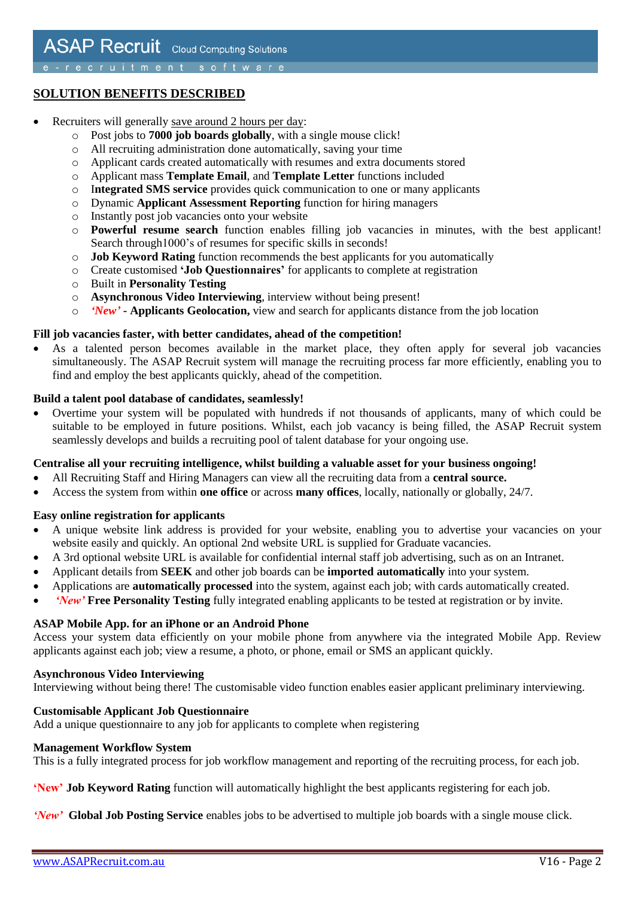## **SOLUTION BENEFITS DESCRIBED**

- Recruiters will generally save around 2 hours per day:
	- o Post jobs to **7000 job boards globally**, with a single mouse click!
	- o All recruiting administration done automatically, saving your time
	- o Applicant cards created automatically with resumes and extra documents stored
	- o Applicant mass **Template Email**, and **Template Letter** functions included
	- o I**ntegrated SMS service** provides quick communication to one or many applicants
	- o Dynamic **Applicant Assessment Reporting** function for hiring managers
	- o Instantly post job vacancies onto your website
	- o **Powerful resume search** function enables filling job vacancies in minutes, with the best applicant! Search through1000's of resumes for specific skills in seconds!
	- o **Job Keyword Rating** function recommends the best applicants for you automatically
	- o Create customised **'Job Questionnaires'** for applicants to complete at registration
	- o Built in **Personality Testing**
	- o **Asynchronous Video Interviewing**, interview without being present!
	- o *'New'* **- Applicants Geolocation,** view and search for applicants distance from the job location

#### **Fill job vacancies faster, with better candidates, ahead of the competition!**

 As a talented person becomes available in the market place, they often apply for several job vacancies simultaneously. The ASAP Recruit system will manage the recruiting process far more efficiently, enabling you to find and employ the best applicants quickly, ahead of the competition.

#### **Build a talent pool database of candidates, seamlessly!**

 Overtime your system will be populated with hundreds if not thousands of applicants, many of which could be suitable to be employed in future positions. Whilst, each job vacancy is being filled, the ASAP Recruit system seamlessly develops and builds a recruiting pool of talent database for your ongoing use.

#### **Centralise all your recruiting intelligence, whilst building a valuable asset for your business ongoing!**

- All Recruiting Staff and Hiring Managers can view all the recruiting data from a **central source.**
- Access the system from within **one office** or across **many offices**, locally, nationally or globally, 24/7.

#### **Easy online registration for applicants**

- A unique website link address is provided for your website, enabling you to advertise your vacancies on your website easily and quickly. An optional 2nd website URL is supplied for Graduate vacancies.
- A 3rd optional website URL is available for confidential internal staff job advertising, such as on an Intranet.
- Applicant details from **SEEK** and other job boards can be **imported automatically** into your system.
- Applications are **automatically processed** into the system, against each job; with cards automatically created.
- *'New'* **Free Personality Testing** fully integrated enabling applicants to be tested at registration or by invite.

#### **ASAP Mobile App. for an iPhone or an Android Phone**

Access your system data efficiently on your mobile phone from anywhere via the integrated Mobile App. Review applicants against each job; view a resume, a photo, or phone, email or SMS an applicant quickly.

#### **Asynchronous Video Interviewing**

Interviewing without being there! The customisable video function enables easier applicant preliminary interviewing.

#### **Customisable Applicant Job Questionnaire**

Add a unique questionnaire to any job for applicants to complete when registering

#### **Management Workflow System**

This is a fully integrated process for job workflow management and reporting of the recruiting process, for each job.

**'New' Job Keyword Rating** function will automatically highlight the best applicants registering for each job.

*'New'* **Global Job Posting Service** enables jobs to be advertised to multiple job boards with a single mouse click.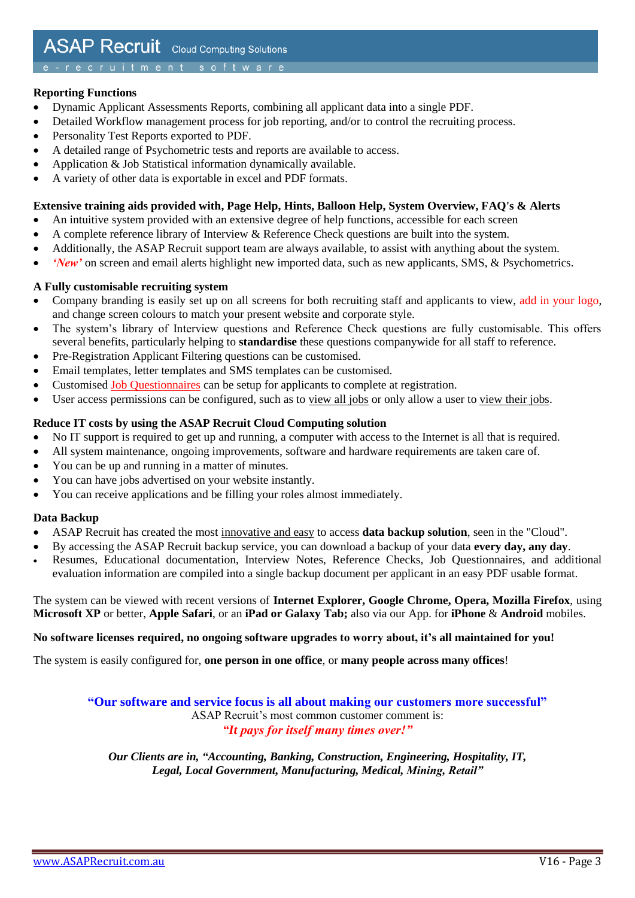#### **Reporting Functions**

- Dynamic Applicant Assessments Reports, combining all applicant data into a single PDF.
- Detailed Workflow management process for job reporting, and/or to control the recruiting process.
- Personality Test Reports exported to PDF.
- A detailed range of Psychometric tests and reports are available to access.
- Application & Job Statistical information dynamically available.
- A variety of other data is exportable in excel and PDF formats.

#### **Extensive training aids provided with, Page Help, Hints, Balloon Help, System Overview, FAQ's & Alerts**

- An intuitive system provided with an extensive degree of help functions, accessible for each screen
- A complete reference library of Interview & Reference Check questions are built into the system.
- Additionally, the ASAP Recruit support team are always available, to assist with anything about the system.
- *'New'* on screen and email alerts highlight new imported data, such as new applicants, SMS, & Psychometrics.

#### **A Fully customisable recruiting system**

- Company branding is easily set up on all screens for both recruiting staff and applicants to view, add in your logo, and change screen colours to match your present website and corporate style.
- The system's library of Interview questions and Reference Check questions are fully customisable. This offers several benefits, particularly helping to **standardise** these questions companywide for all staff to reference.
- Pre-Registration Applicant Filtering questions can be customised.
- Email templates, letter templates and SMS templates can be customised.
- Customised Job Questionnaires can be setup for applicants to complete at registration.
- User access permissions can be configured, such as to view all jobs or only allow a user to view their jobs.

#### **Reduce IT costs by using the ASAP Recruit Cloud Computing solution**

- No IT support is required to get up and running, a computer with access to the Internet is all that is required.
- All system maintenance, ongoing improvements, software and hardware requirements are taken care of.
- You can be up and running in a matter of minutes.
- You can have jobs advertised on your website instantly.
- You can receive applications and be filling your roles almost immediately.

#### **Data Backup**

- ASAP Recruit has created the most innovative and easy to access **data backup solution**, seen in the "Cloud".
- By accessing the ASAP Recruit backup service, you can download a backup of your data **every day, any day**.
- Resumes, Educational documentation, Interview Notes, Reference Checks, Job Questionnaires, and additional evaluation information are compiled into a single backup document per applicant in an easy PDF usable format.

The system can be viewed with recent versions of **Internet Explorer, Google Chrome, Opera, Mozilla Firefox**, using **Microsoft XP** or better, **Apple Safari**, or an **iPad or Galaxy Tab;** also via our App. for **iPhone** & **Android** mobiles.

#### **No software licenses required, no ongoing software upgrades to worry about, it's all maintained for you!**

The system is easily configured for, **one person in one office**, or **many people across many offices**!

**"Our software and service focus is all about making our customers more successful"** ASAP Recruit's most common customer comment is: *"It pays for itself many times over!"*

*Our Clients are in, "Accounting, Banking, Construction, Engineering, Hospitality, IT, Legal, Local Government, Manufacturing, Medical, Mining, Retail"*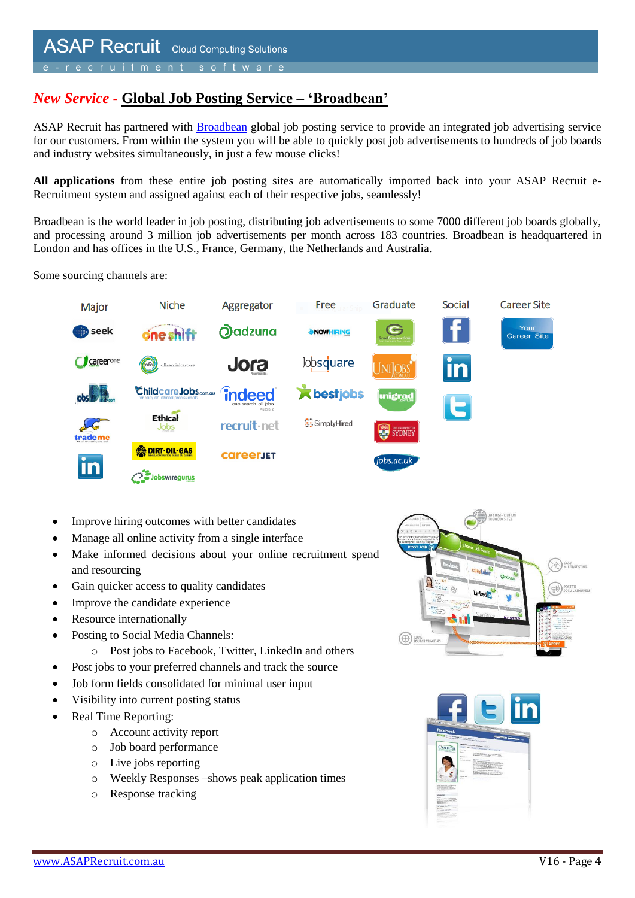## *New Service -* **Global Job Posting Service – 'Broadbean'**

ASAP Recruit has partnered with **Broadbean** global job posting service to provide an integrated job advertising service for our customers. From within the system you will be able to quickly post job advertisements to hundreds of job boards and industry websites simultaneously, in just a few mouse clicks!

**All applications** from these entire job posting sites are automatically imported back into your ASAP Recruit e-Recruitment system and assigned against each of their respective jobs, seamlessly!

Broadbean is the world leader in job posting, distributing job advertisements to some 7000 different job boards globally, and processing around 3 million job advertisements per month across 183 countries. Broadbean is headquartered in London and has offices in the U.S., France, Germany, the Netherlands and Australia.

Some sourcing channels are:



- Improve hiring outcomes with better candidates
- Manage all online activity from a single interface
- Make informed decisions about your online recruitment spend and resourcing
- Gain quicker access to quality candidates
- Improve the candidate experience
- Resource internationally
- Posting to Social Media Channels:
	- o Post jobs to Facebook, Twitter, LinkedIn and others
- Post jobs to your preferred channels and track the source
- Job form fields consolidated for minimal user input
- Visibility into current posting status
- Real Time Reporting:
	- o Account activity report
	- o Job board performance
	- o Live jobs reporting
	- o Weekly Responses –shows peak application times
	- o Response tracking